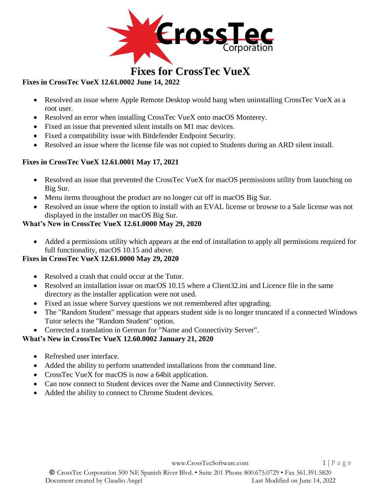

# **Fixes for CrossTec VueX**

# **Fixes in CrossTec VueX 12.61.0002 June 14, 2022**

- Resolved an issue where Apple Remote Desktop would hang when uninstalling CrossTec VueX as a root user.
- Resolved an error when installing CrossTec VueX onto macOS Monterey.
- Fixed an issue that prevented silent installs on M1 mac devices.
- Fixed a compatibility issue with Bitdefender Endpoint Security.
- Resolved an issue where the license file was not copied to Students during an ARD silent install.

# **Fixes in CrossTec VueX 12.61.0001 May 17, 2021**

- Resolved an issue that prevented the CrossTec VueX for macOS permissions utility from launching on Big Sur.
- Menu items throughout the product are no longer cut off in macOS Big Sur.
- Resolved an issue where the option to install with an EVAL license or browse to a Sale license was not displayed in the installer on macOS Big Sur.

### **What's New in CrossTec VueX 12.61.0000 May 29, 2020**

• Added a permissions utility which appears at the end of installation to apply all permissions required for full functionality, macOS 10.15 and above.

#### **Fixes in CrossTec VueX 12.61.0000 May 29, 2020**

- Resolved a crash that could occur at the Tutor.
- Resolved an installation issue on macOS 10.15 where a Client32.ini and Licence file in the same directory as the installer application were not used.
- Fixed an issue where Survey questions we not remembered after upgrading.
- The "Random Student" message that appears student side is no longer truncated if a connected Windows Tutor selects the "Random Student" option.
- Corrected a translation in German for "Name and Connectivity Server".

# **What's New in CrossTec VueX 12.60.0002 January 21, 2020**

- Refreshed user interface.
- Added the ability to perform unattended installations from the command line.
- CrossTec VueX for macOS is now a 64bit application.
- Can now connect to Student devices over the Name and Connectivity Server.
- Added the ability to connect to Chrome Student devices.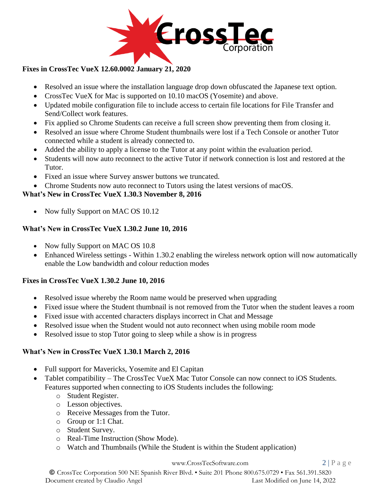

# **Fixes in CrossTec VueX 12.60.0002 January 21, 2020**

- Resolved an issue where the installation language drop down obfuscated the Japanese text option.
- CrossTec VueX for Mac is supported on 10.10 macOS (Yosemite) and above.
- Updated mobile configuration file to include access to certain file locations for File Transfer and Send/Collect work features.
- Fix applied so Chrome Students can receive a full screen show preventing them from closing it.
- Resolved an issue where Chrome Student thumbnails were lost if a Tech Console or another Tutor connected while a student is already connected to.
- Added the ability to apply a license to the Tutor at any point within the evaluation period.
- Students will now auto reconnect to the active Tutor if network connection is lost and restored at the Tutor.
- Fixed an issue where Survey answer buttons we truncated.
- Chrome Students now auto reconnect to Tutors using the latest versions of macOS.

### **What's New in CrossTec VueX 1.30.3 November 8, 2016**

• Now fully Support on MAC OS 10.12

### **What's New in CrossTec VueX 1.30.2 June 10, 2016**

- Now fully Support on MAC OS 10.8
- Enhanced Wireless settings Within 1.30.2 enabling the wireless network option will now automatically enable the Low bandwidth and colour reduction modes

# **Fixes in CrossTec VueX 1.30.2 June 10, 2016**

- Resolved issue whereby the Room name would be preserved when upgrading
- Fixed issue where the Student thumbnail is not removed from the Tutor when the student leaves a room
- Fixed issue with accented characters displays incorrect in Chat and Message
- Resolved issue when the Student would not auto reconnect when using mobile room mode
- Resolved issue to stop Tutor going to sleep while a show is in progress

#### **What's New in CrossTec VueX 1.30.1 March 2, 2016**

- Full support for Mavericks, Yosemite and El Capitan
- Tablet compatibility The CrossTec VueX Mac Tutor Console can now connect to iOS Students. Features supported when connecting to iOS Students includes the following:
	- o Student Register.
	- o Lesson objectives.
	- o Receive Messages from the Tutor.
	- o Group or 1:1 Chat.
	- o Student Survey.
	- o Real-Time Instruction (Show Mode).
	- o Watch and Thumbnails (While the Student is within the Student application)

#### [www.CrossTecSoftware.com](http://www.crosstecsoftware.com/) 2 | P a g e

© CrossTec Corporation 500 NE Spanish River Blvd. • Suite 201 Phone 800.675.0729 • Fax 561.391.5820 Document created by Claudio Angel Last Modified on June 14, 2022